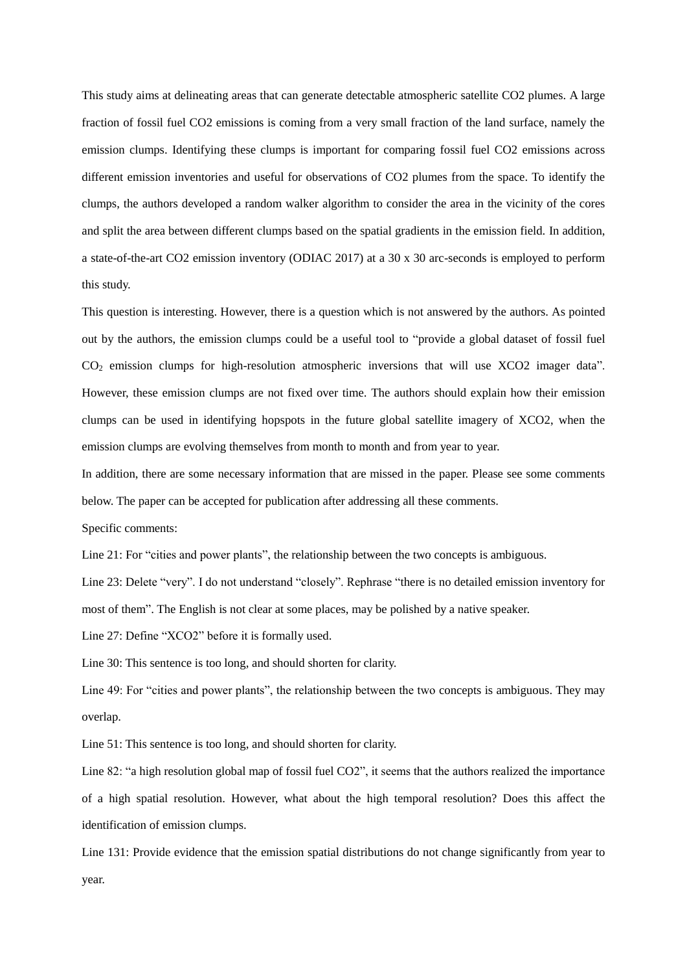This study aims at delineating areas that can generate detectable atmospheric satellite CO2 plumes. A large fraction of fossil fuel CO2 emissions is coming from a very small fraction of the land surface, namely the emission clumps. Identifying these clumps is important for comparing fossil fuel CO2 emissions across different emission inventories and useful for observations of CO2 plumes from the space. To identify the clumps, the authors developed a random walker algorithm to consider the area in the vicinity of the cores and split the area between different clumps based on the spatial gradients in the emission field. In addition, a state-of-the-art CO2 emission inventory (ODIAC 2017) at a 30 x 30 arc-seconds is employed to perform this study.

This question is interesting. However, there is a question which is not answered by the authors. As pointed out by the authors, the emission clumps could be a useful tool to "provide a global dataset of fossil fuel CO<sup>2</sup> emission clumps for high-resolution atmospheric inversions that will use XCO2 imager data". However, these emission clumps are not fixed over time. The authors should explain how their emission clumps can be used in identifying hopspots in the future global satellite imagery of XCO2, when the emission clumps are evolving themselves from month to month and from year to year.

In addition, there are some necessary information that are missed in the paper. Please see some comments below. The paper can be accepted for publication after addressing all these comments.

Specific comments:

Line 21: For "cities and power plants", the relationship between the two concepts is ambiguous.

Line 23: Delete "very". I do not understand "closely". Rephrase "there is no detailed emission inventory for most of them". The English is not clear at some places, may be polished by a native speaker.

Line 27: Define "XCO2" before it is formally used.

Line 30: This sentence is too long, and should shorten for clarity.

Line 49: For "cities and power plants", the relationship between the two concepts is ambiguous. They may overlap.

Line 51: This sentence is too long, and should shorten for clarity.

Line 82: "a high resolution global map of fossil fuel CO2", it seems that the authors realized the importance of a high spatial resolution. However, what about the high temporal resolution? Does this affect the identification of emission clumps.

Line 131: Provide evidence that the emission spatial distributions do not change significantly from year to year.